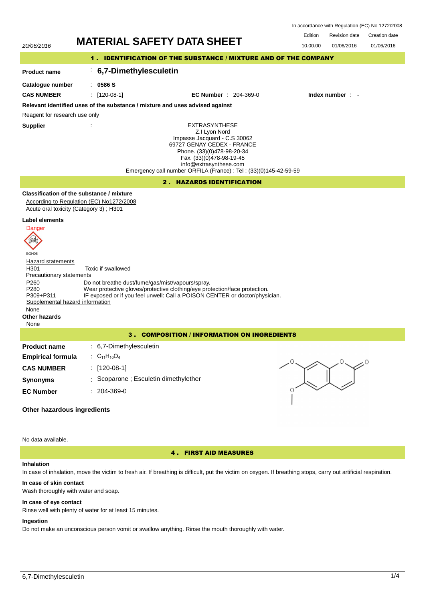| In accordance with Regulation (EC) No 1272/2008 |  |  |  |
|-------------------------------------------------|--|--|--|
|-------------------------------------------------|--|--|--|

# Edition Revision date Creation date



No data available.

4 . FIRST AID MEASURES

## **Inhalation**

In case of inhalation, move the victim to fresh air. If breathing is difficult, put the victim on oxygen. If breathing stops, carry out artificial respiration.

## **In case of skin contact**

Wash thoroughly with water and soap.

## **In case of eye contact**

Rinse well with plenty of water for at least 15 minutes.

#### **Ingestion**

Do not make an unconscious person vomit or swallow anything. Rinse the mouth thoroughly with water.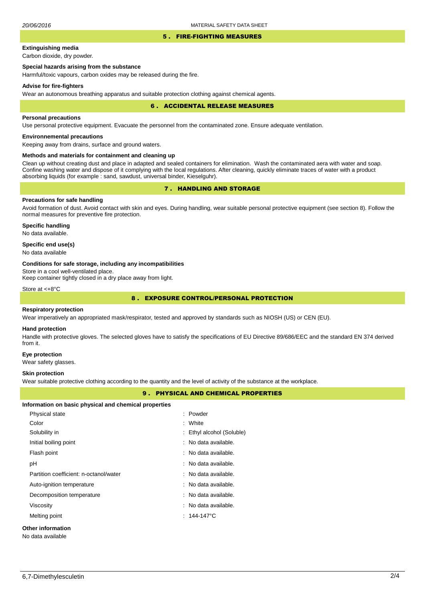### 5 . FIRE-FIGHTING MEASURES

# **Extinguishing media**

Carbon dioxide, dry powder.

## **Special hazards arising from the substance**

Harmful/toxic vapours, carbon oxides may be released during the fire.

### **Advise for fire-fighters**

Wear an autonomous breathing apparatus and suitable protection clothing against chemical agents.

### 6 . ACCIDENTAL RELEASE MEASURES

### **Personal precautions**

Use personal protective equipment. Evacuate the personnel from the contaminated zone. Ensure adequate ventilation.

# **Environnemental precautions**

Keeping away from drains, surface and ground waters.

## **Methods and materials for containment and cleaning up**

Clean up without creating dust and place in adapted and sealed containers for elimination. Wash the contaminated aera with water and soap. Confine washing water and dispose of it complying with the local regulations. After cleaning, quickly eliminate traces of water with a product absorbing liquids (for example : sand, sawdust, universal binder, Kieselguhr).

# 7 . HANDLING AND STORAGE

# **Precautions for safe handling**

Avoid formation of dust. Avoid contact with skin and eyes. During handling, wear suitable personal protective equipment (see section 8). Follow the normal measures for preventive fire protection.

**Specific handling** No data available.

## **Specific end use(s)**

No data available

### **Conditions for safe storage, including any incompatibilities**

Store in a cool well-ventilated place.

Keep container tightly closed in a dry place away from light.

Store at <+8°C

# 8 . EXPOSURE CONTROL/PERSONAL PROTECTION

### **Respiratory protection**

Wear imperatively an appropriated mask/respirator, tested and approved by standards such as NIOSH (US) or CEN (EU).

#### **Hand protection**

Handle with protective gloves. The selected gloves have to satisfy the specifications of EU Directive 89/686/EEC and the standard EN 374 derived from it.

#### **Eye protection**

Wear safety glasses.

### **Skin protection**

Wear suitable protective clothing according to the quantity and the level of activity of the substance at the workplace.

## 9 . PHYSICAL AND CHEMICAL PROPERTIES

| Information on basic physical and chemical properties |                           |
|-------------------------------------------------------|---------------------------|
| Physical state                                        | : Powder                  |
| Color                                                 | : White                   |
| Solubility in                                         | : Ethyl alcohol (Soluble) |
| Initial boiling point                                 | : No data available.      |
| Flash point                                           | : No data available.      |
| рH                                                    | : No data available.      |
| Partition coefficient: n-octanol/water                | : No data available.      |
| Auto-ignition temperature                             | : No data available.      |
| Decomposition temperature                             | : No data available.      |
| Viscosity                                             | : No data available.      |
| Melting point                                         | $: 144.147^{\circ}$ C     |
| <b>Other information</b>                              |                           |

No data available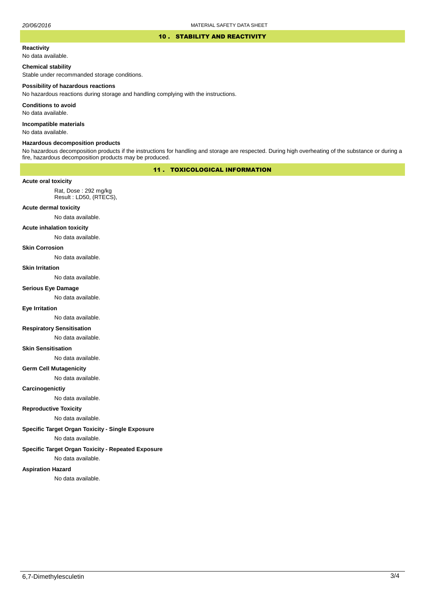### 10 . STABILITY AND REACTIVITY

#### **Reactivity**

No data available.

## **Chemical stability**

Stable under recommanded storage conditions.

#### **Possibility of hazardous reactions**

No hazardous reactions during storage and handling complying with the instructions.

**Conditions to avoid**

No data available.

**Incompatible materials**

No data available.

### **Hazardous decomposition products**

No hazardous decomposition products if the instructions for handling and storage are respected. During high overheating of the substance or during a fire, hazardous decomposition products may be produced.

# 11 . TOXICOLOGICAL INFORMATION

#### **Acute oral toxicity**

Rat, Dose : 292 mg/kg Result : LD50, (RTECS),

## **Acute dermal toxicity**

No data available.

## **Acute inhalation toxicity**

No data available.

## **Skin Corrosion**

No data available.

#### **Skin Irritation**

No data available.

## **Serious Eye Damage**

No data available.

#### **Eye Irritation**

No data available.

# **Respiratory Sensitisation**

No data available.

## **Skin Sensitisation**

No data available.

#### **Germ Cell Mutagenicity**

No data available.

#### **Carcinogenictiy**

No data available.

#### **Reproductive Toxicity**

No data available.

## **Specific Target Organ Toxicity - Single Exposure**

No data available.

# **Specific Target Organ Toxicity - Repeated Exposure**

No data available.

## **Aspiration Hazard**

No data available.